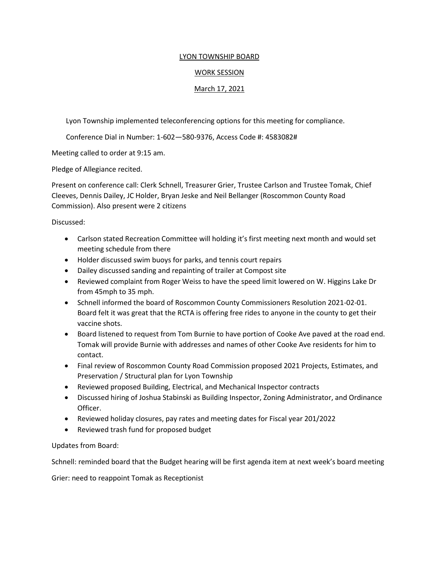## LYON TOWNSHIP BOARD

## WORK SESSION

## March 17, 2021

Lyon Township implemented teleconferencing options for this meeting for compliance.

Conference Dial in Number: 1-602—580-9376, Access Code #: 4583082#

Meeting called to order at 9:15 am.

Pledge of Allegiance recited.

Present on conference call: Clerk Schnell, Treasurer Grier, Trustee Carlson and Trustee Tomak, Chief Cleeves, Dennis Dailey, JC Holder, Bryan Jeske and Neil Bellanger (Roscommon County Road Commission). Also present were 2 citizens

Discussed:

- Carlson stated Recreation Committee will holding it's first meeting next month and would set meeting schedule from there
- Holder discussed swim buoys for parks, and tennis court repairs
- Dailey discussed sanding and repainting of trailer at Compost site
- Reviewed complaint from Roger Weiss to have the speed limit lowered on W. Higgins Lake Dr from 45mph to 35 mph.
- Schnell informed the board of Roscommon County Commissioners Resolution 2021-02-01. Board felt it was great that the RCTA is offering free rides to anyone in the county to get their vaccine shots.
- Board listened to request from Tom Burnie to have portion of Cooke Ave paved at the road end. Tomak will provide Burnie with addresses and names of other Cooke Ave residents for him to contact.
- Final review of Roscommon County Road Commission proposed 2021 Projects, Estimates, and Preservation / Structural plan for Lyon Township
- Reviewed proposed Building, Electrical, and Mechanical Inspector contracts
- Discussed hiring of Joshua Stabinski as Building Inspector, Zoning Administrator, and Ordinance Officer.
- Reviewed holiday closures, pay rates and meeting dates for Fiscal year 201/2022
- Reviewed trash fund for proposed budget

## Updates from Board:

Schnell: reminded board that the Budget hearing will be first agenda item at next week's board meeting

Grier: need to reappoint Tomak as Receptionist